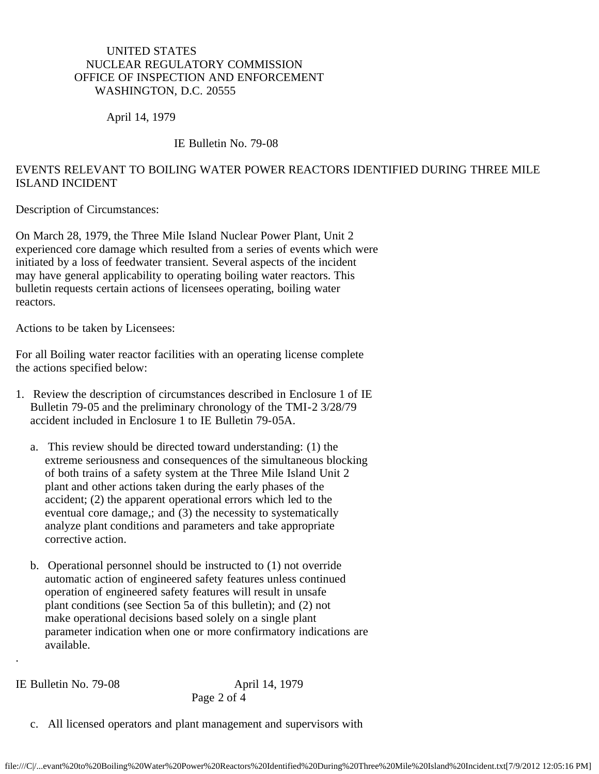## UNITED STATES NUCLEAR REGULATORY COMMISSION OFFICE OF INSPECTION AND ENFORCEMENT WASHINGTON, D.C. 20555

April 14, 1979

## IE Bulletin No. 79-08

## EVENTS RELEVANT TO BOILING WATER POWER REACTORS IDENTIFIED DURING THREE MILE ISLAND INCIDENT

Description of Circumstances:

On March 28, 1979, the Three Mile Island Nuclear Power Plant, Unit 2 experienced core damage which resulted from a series of events which were initiated by a loss of feedwater transient. Several aspects of the incident may have general applicability to operating boiling water reactors. This bulletin requests certain actions of licensees operating, boiling water reactors.

Actions to be taken by Licensees:

For all Boiling water reactor facilities with an operating license complete the actions specified below:

- 1. Review the description of circumstances described in Enclosure 1 of IE Bulletin 79-05 and the preliminary chronology of the TMI-2 3/28/79 accident included in Enclosure 1 to IE Bulletin 79-05A.
	- a. This review should be directed toward understanding: (1) the extreme seriousness and consequences of the simultaneous blocking of both trains of a safety system at the Three Mile Island Unit 2 plant and other actions taken during the early phases of the accident; (2) the apparent operational errors which led to the eventual core damage,; and (3) the necessity to systematically analyze plant conditions and parameters and take appropriate corrective action.
	- b. Operational personnel should be instructed to (1) not override automatic action of engineered safety features unless continued operation of engineered safety features will result in unsafe plant conditions (see Section 5a of this bulletin); and (2) not make operational decisions based solely on a single plant parameter indication when one or more confirmatory indications are available.

IE Bulletin No. 79-08 April 14, 1979

.

Page 2 of 4

c. All licensed operators and plant management and supervisors with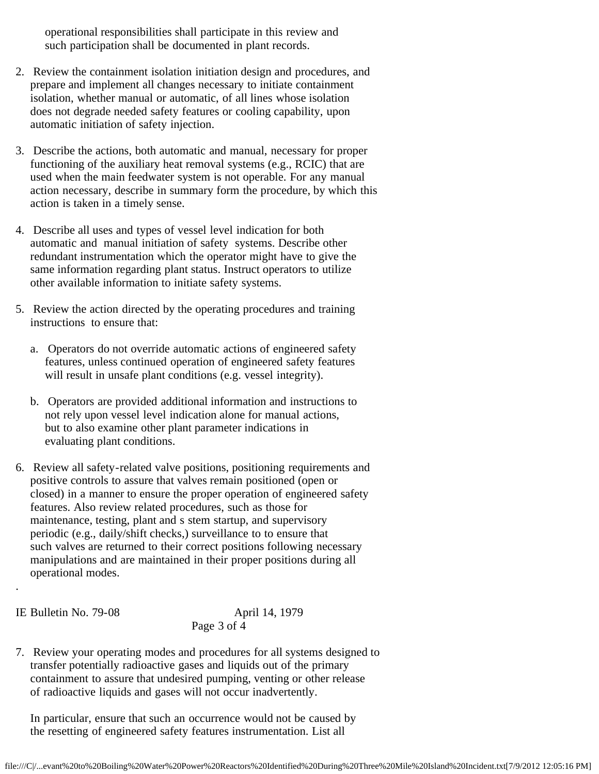operational responsibilities shall participate in this review and such participation shall be documented in plant records.

- 2. Review the containment isolation initiation design and procedures, and prepare and implement all changes necessary to initiate containment isolation, whether manual or automatic, of all lines whose isolation does not degrade needed safety features or cooling capability, upon automatic initiation of safety injection.
- 3. Describe the actions, both automatic and manual, necessary for proper functioning of the auxiliary heat removal systems (e.g., RCIC) that are used when the main feedwater system is not operable. For any manual action necessary, describe in summary form the procedure, by which this action is taken in a timely sense.
- 4. Describe all uses and types of vessel level indication for both automatic and manual initiation of safety systems. Describe other redundant instrumentation which the operator might have to give the same information regarding plant status. Instruct operators to utilize other available information to initiate safety systems.
- 5. Review the action directed by the operating procedures and training instructions to ensure that:
	- a. Operators do not override automatic actions of engineered safety features, unless continued operation of engineered safety features will result in unsafe plant conditions (e.g. vessel integrity).
	- b. Operators are provided additional information and instructions to not rely upon vessel level indication alone for manual actions, but to also examine other plant parameter indications in evaluating plant conditions.
- 6. Review all safety-related valve positions, positioning requirements and positive controls to assure that valves remain positioned (open or closed) in a manner to ensure the proper operation of engineered safety features. Also review related procedures, such as those for maintenance, testing, plant and s stem startup, and supervisory periodic (e.g., daily/shift checks,) surveillance to to ensure that such valves are returned to their correct positions following necessary manipulations and are maintained in their proper positions during all operational modes.

.

IE Bulletin No. 79-08 April 14, 1979 Page 3 of 4

7. Review your operating modes and procedures for all systems designed to transfer potentially radioactive gases and liquids out of the primary containment to assure that undesired pumping, venting or other release of radioactive liquids and gases will not occur inadvertently.

 In particular, ensure that such an occurrence would not be caused by the resetting of engineered safety features instrumentation. List all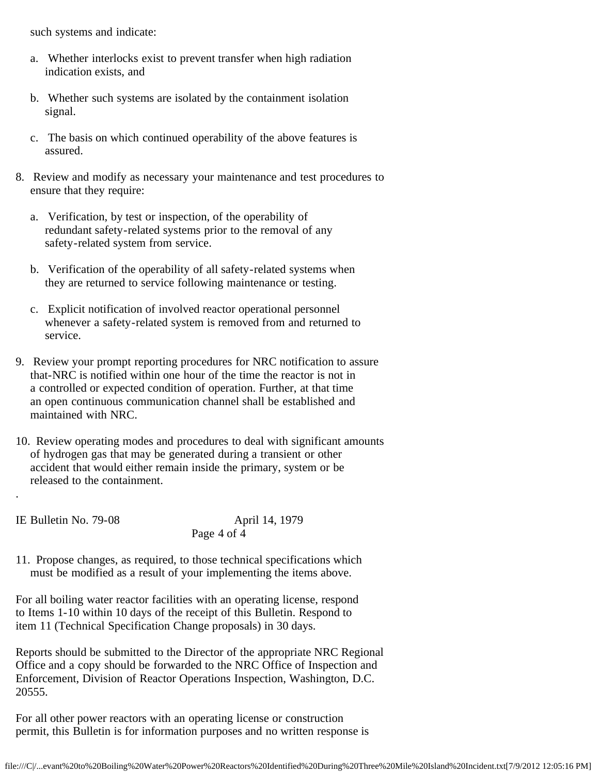such systems and indicate:

- a. Whether interlocks exist to prevent transfer when high radiation indication exists, and
- b. Whether such systems are isolated by the containment isolation signal.
- c. The basis on which continued operability of the above features is assured.
- 8. Review and modify as necessary your maintenance and test procedures to ensure that they require:
	- a. Verification, by test or inspection, of the operability of redundant safety-related systems prior to the removal of any safety-related system from service.
	- b. Verification of the operability of all safety-related systems when they are returned to service following maintenance or testing.
	- c. Explicit notification of involved reactor operational personnel whenever a safety-related system is removed from and returned to service.
- 9. Review your prompt reporting procedures for NRC notification to assure that-NRC is notified within one hour of the time the reactor is not in a controlled or expected condition of operation. Further, at that time an open continuous communication channel shall be established and maintained with NRC.
- 10. Review operating modes and procedures to deal with significant amounts of hydrogen gas that may be generated during a transient or other accident that would either remain inside the primary, system or be released to the containment.

IE Bulletin No. 79-08 April 14, 1979

.

Page 4 of 4

11. Propose changes, as required, to those technical specifications which must be modified as a result of your implementing the items above.

For all boiling water reactor facilities with an operating license, respond to Items 1-10 within 10 days of the receipt of this Bulletin. Respond to item 11 (Technical Specification Change proposals) in 30 days.

Reports should be submitted to the Director of the appropriate NRC Regional Office and a copy should be forwarded to the NRC Office of Inspection and Enforcement, Division of Reactor Operations Inspection, Washington, D.C. 20555.

For all other power reactors with an operating license or construction permit, this Bulletin is for information purposes and no written response is